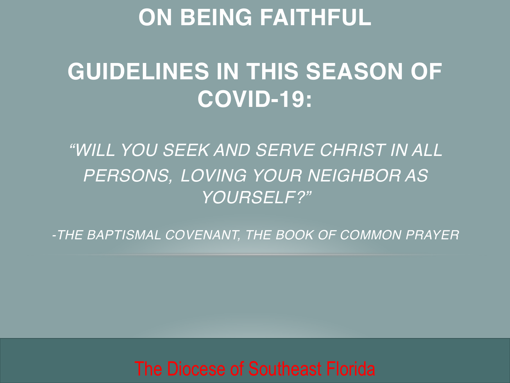## **ON BEING FAITHFUL**

# **GUIDELINES IN THIS SEASON OF COVID-19:**

*"WILL YOU SEEK AND SERVE CHRIST IN ALL PERSONS, LOVING YOUR NEIGHBOR AS YOURSELF?"*

*-THE BAPTISMAL COVENANT, THE BOOK OF COMMON PRAYER*

The Diocese of Southeast Florida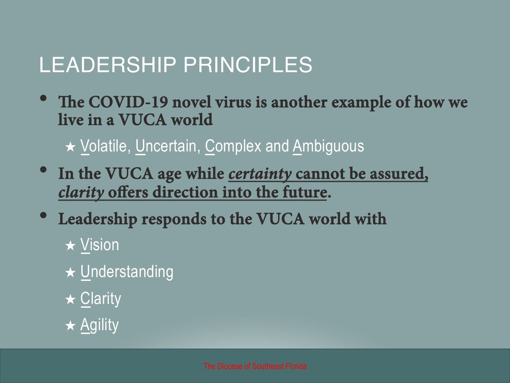## LEADERSHIP PRINCIPLES

• **<sup>T</sup>e COVID-19 novel virus is another example of how we live in a VUCA world** 

★ Volatile, Uncertain, Complex and Ambiguous

- **In the VUCA age while** *certainty* **cannot be assured,**  *clarity* **offers direction into the future.**
- **Leadership responds to the VUCA world with** 
	- ★ Vision
	- ★ Understanding
	- **★ Clarity**
	- **★ Agility**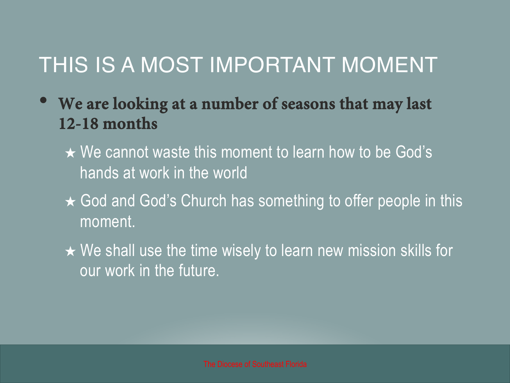## THIS IS A MOST IMPORTANT MOMENT

- **We are looking at a number of seasons that may last 12-18 months** 
	- ★ We cannot waste this moment to learn how to be God's hands at work in the world
	- ★ God and God's Church has something to offer people in this moment.
	- ★ We shall use the time wisely to learn new mission skills for our work in the future.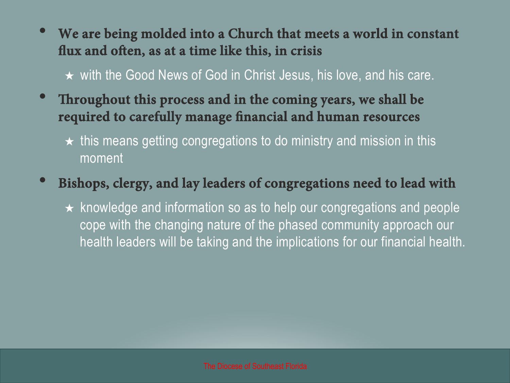• **We are being molded into a Church that meets a world in constant fux and ofen, as at a time like this, in crisis** 

★ with the Good News of God in Christ Jesus, his love, and his care.

- **<sup>T</sup>roughout this process and in the coming years, we shall be required to carefully manage fnancial and human resources** 
	- ★ this means getting congregations to do ministry and mission in this moment

#### • **Bishops, clergy, and lay leaders of congregations need to lead with**

 $\star$  knowledge and information so as to help our congregations and people cope with the changing nature of the phased community approach our health leaders will be taking and the implications for our financial health.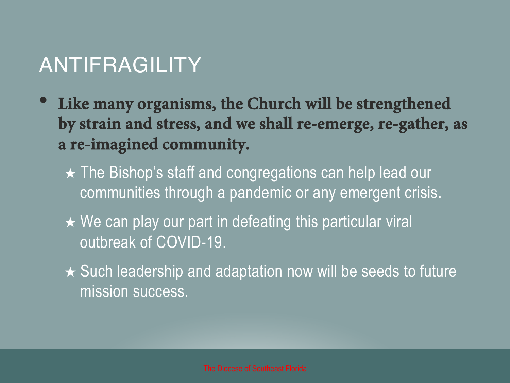## ANTIFRAGILITY

- **Like many organisms, the Church will be strengthened by strain and stress, and we shall re-emerge, re-gather, as a re-imagined community.** 
	- ★ The Bishop's staff and congregations can help lead our communities through a pandemic or any emergent crisis.
	- $\star$  We can play our part in defeating this particular viral outbreak of COVID-19.
	- ★ Such leadership and adaptation now will be seeds to future mission success.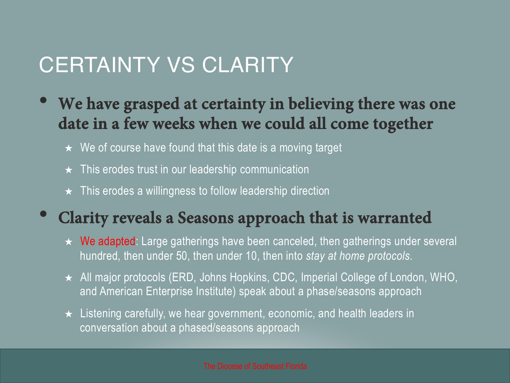#### CERTAINTY VS CLARITY

- **We have grasped at certainty in believing there was one date in a few weeks when we could all come together** 
	- $\star$  We of course have found that this date is a moving target
	- $\star$  This erodes trust in our leadership communication
	- $\star$  This erodes a willingness to follow leadership direction

#### • **Clarity reveals a Seasons approach that is warranted**

- $\star$  We adapted: Large gatherings have been canceled, then gatherings under several hundred, then under 50, then under 10, then into *stay at home protocols*.
- ★ All major protocols (ERD, Johns Hopkins, CDC, Imperial College of London, WHO, and American Enterprise Institute) speak about a phase/seasons approach
- $\star$  Listening carefully, we hear government, economic, and health leaders in conversation about a phased/seasons approach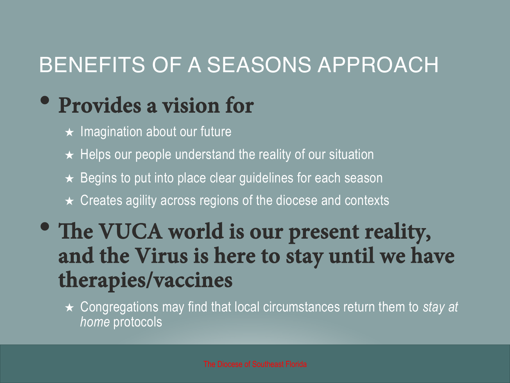## BENEFITS OF A SEASONS APPROACH

## • **Provides a vision for**

- $\star$  Imagination about our future
- $\star$  Helps our people understand the reality of our situation
- $\star$  Begins to put into place clear guidelines for each season
- $\star$  Creates agility across regions of the diocese and contexts

### • The VUCA world is our present reality, **and the Virus is here to stay until we have therapies/vaccines**

★ Congregations may find that local circumstances return them to *stay at home* protocols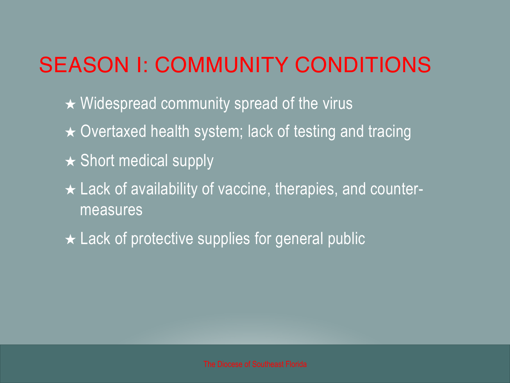## SEASON I: COMMUNITY CONDITIONS

- $\star$  Widespread community spread of the virus
- ★ Overtaxed health system; lack of testing and tracing
- $\star$  Short medical supply
- ★ Lack of availability of vaccine, therapies, and countermeasures
- $\star$  Lack of protective supplies for general public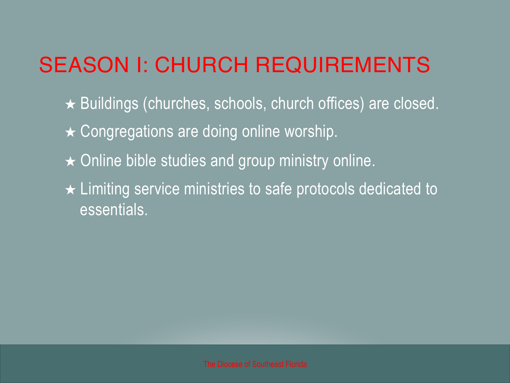## SEASON I: CHURCH REQUIREMENTS

- ★ Buildings (churches, schools, church offices) are closed.
- **★ Congregations are doing online worship.**
- $\star$  Online bible studies and group ministry online.
- ★ Limiting service ministries to safe protocols dedicated to essentials.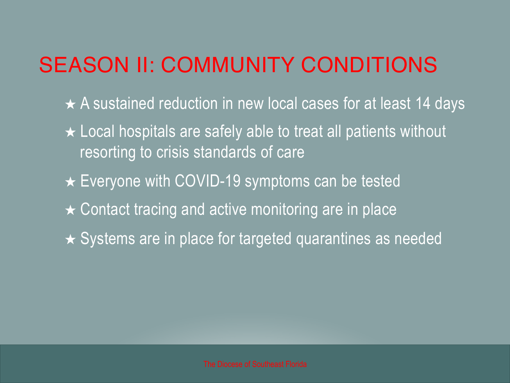## SEASON II: COMMUNITY CONDITIONS

- ★ A sustained reduction in new local cases for at least 14 days
- ★ Local hospitals are safely able to treat all patients without resorting to crisis standards of care
- **★ Everyone with COVID-19 symptoms can be tested**
- $\star$  Contact tracing and active monitoring are in place
- ★ Systems are in place for targeted quarantines as needed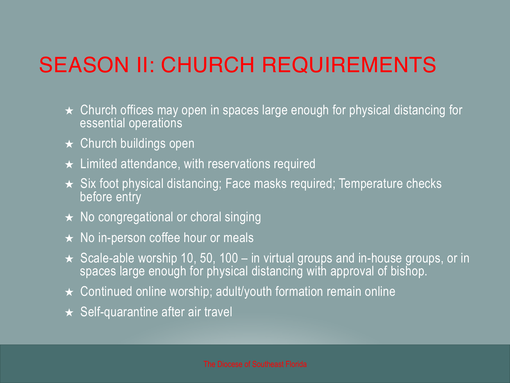## SEASON II: CHURCH REQUIREMENTS

- $\star$  Church offices may open in spaces large enough for physical distancing for essential operations
- $\star$  Church buildings open
- $\star$  Limited attendance, with reservations required
- ★ Six foot physical distancing; Face masks required; Temperature checks before entry
- ★ No congregational or choral singing
- ★ No in-person coffee hour or meals
- $\star$  Scale-able worship 10, 50, 100 in virtual groups and in-house groups, or in spaces large enough for physical distancing with approval of bishop.  $\overline{\phantom{a}}$
- $\star$  Continued online worship; adult/youth formation remain online
- $\star$  Self-quarantine after air travel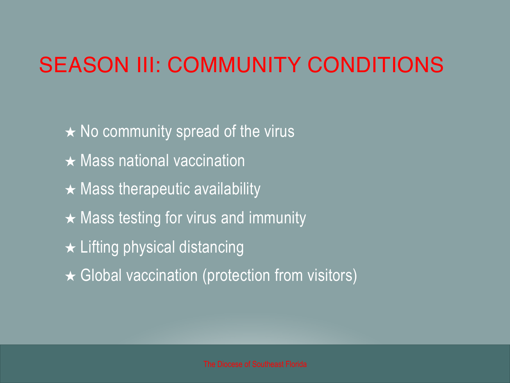## SEASON III: COMMUNITY CONDITIONS

 $\star$  No community spread of the virus  $\star$  Mass national vaccination  $\star$  Mass therapeutic availability  $\star$  Mass testing for virus and immunity  $\star$  Lifting physical distancing **★ Global vaccination (protection from visitors)**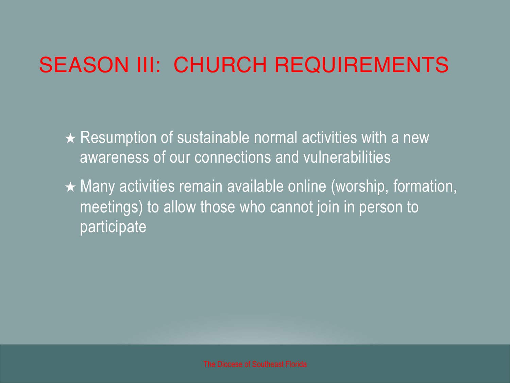## SEASON III: CHURCH REQUIREMENTS

- $\star$  Resumption of sustainable normal activities with a new awareness of our connections and vulnerabilities
- $\star$  Many activities remain available online (worship, formation, meetings) to allow those who cannot join in person to participate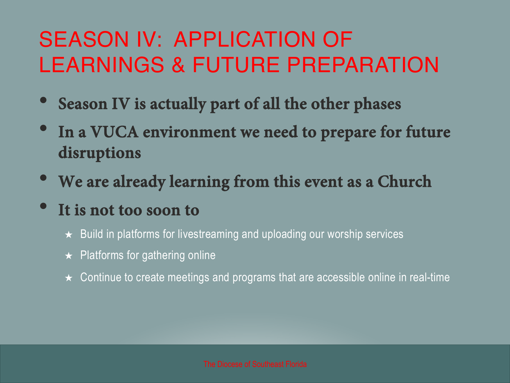## SEASON IV: APPLICATION OF LEARNINGS & FUTURE PREPARATION

- **Season IV is actually part of all the other phases**
- **In a VUCA environment we need to prepare for future disruptions**
- **We are already learning from this event as a Church**
- **It is not too soon to** 
	- ★ Build in platforms for livestreaming and uploading our worship services
	- $\star$  Platforms for gathering online
	- $\star$  Continue to create meetings and programs that are accessible online in real-time